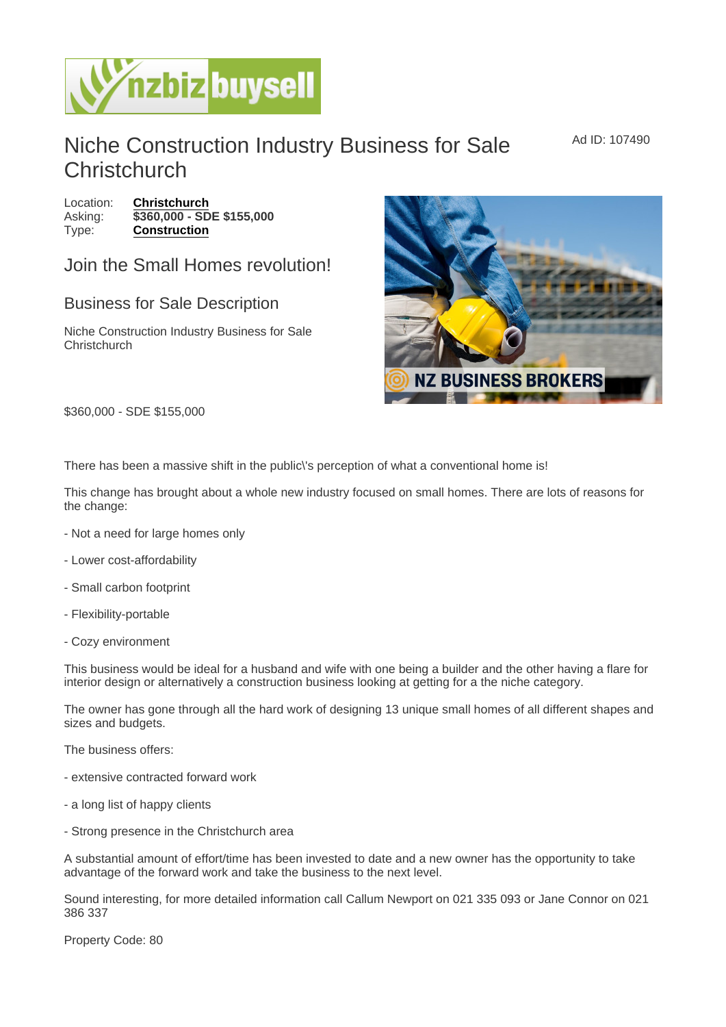## Niche Construction Industry Business for Sale **Christchurch**

Ad ID: 107490

Location: [Christchurch](https://www.nzbizbuysell.co.nz/businesses-for-sale/location/Christchurch) Asking:  $\sqrt{3360,000 - SDE}$  \$155,000 Type: [Construction](https://www.nzbizbuysell.co.nz/businesses-for-sale/Construction/New-Zealand)

## Join the Small Homes revolution!

## Business for Sale Description

Niche Construction Industry Business for Sale **Christchurch** 

\$360,000 - SDE \$155,000

There has been a massive shift in the public\'s perception of what a conventional home is!

This change has brought about a whole new industry focused on small homes. There are lots of reasons for the change:

- Not a need for large homes only
- Lower cost-affordability
- Small carbon footprint
- Flexibility-portable
- Cozy environment

This business would be ideal for a husband and wife with one being a builder and the other having a flare for interior design or alternatively a construction business looking at getting for a the niche category.

The owner has gone through all the hard work of designing 13 unique small homes of all different shapes and sizes and budgets.

The business offers:

- extensive contracted forward work
- a long list of happy clients
- Strong presence in the Christchurch area

A substantial amount of effort/time has been invested to date and a new owner has the opportunity to take advantage of the forward work and take the business to the next level.

Sound interesting, for more detailed information call Callum Newport on 021 335 093 or Jane Connor on 021 386 337

Property Code: 80